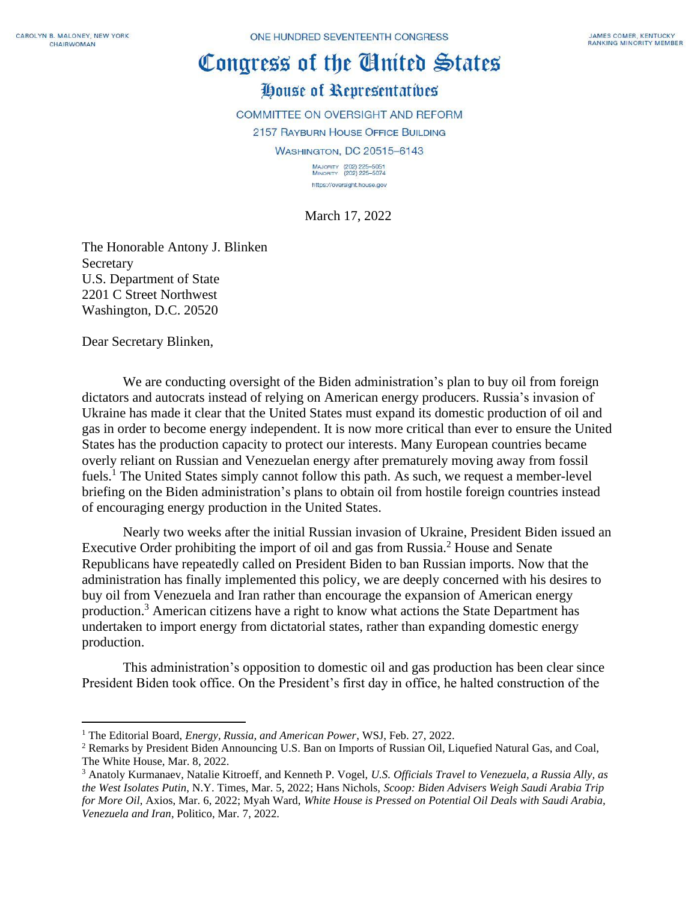## Congress of the Cluited States House of Representatives

COMMITTEE ON OVERSIGHT AND REFORM 2157 RAYBURN HOUSE OFFICE BUILDING WASHINGTON, DC 20515-6143 MAJORITY (202) 225-5051<br>MINORITY (202) 225-5074

March 17, 2022

https://oversight.house.gov

The Honorable Antony J. Blinken Secretary U.S. Department of State 2201 C Street Northwest Washington, D.C. 20520

Dear Secretary Blinken,

We are conducting oversight of the Biden administration's plan to buy oil from foreign dictators and autocrats instead of relying on American energy producers. Russia's invasion of Ukraine has made it clear that the United States must expand its domestic production of oil and gas in order to become energy independent. It is now more critical than ever to ensure the United States has the production capacity to protect our interests. Many European countries became overly reliant on Russian and Venezuelan energy after prematurely moving away from fossil fuels.<sup>1</sup> The United States simply cannot follow this path. As such, we request a member-level briefing on the Biden administration's plans to obtain oil from hostile foreign countries instead of encouraging energy production in the United States.

Nearly two weeks after the initial Russian invasion of Ukraine, President Biden issued an Executive Order prohibiting the import of oil and gas from Russia. <sup>2</sup> House and Senate Republicans have repeatedly called on President Biden to ban Russian imports. Now that the administration has finally implemented this policy, we are deeply concerned with his desires to buy oil from Venezuela and Iran rather than encourage the expansion of American energy production.<sup>3</sup> American citizens have a right to know what actions the State Department has undertaken to import energy from dictatorial states, rather than expanding domestic energy production.

This administration's opposition to domestic oil and gas production has been clear since President Biden took office. On the President's first day in office, he halted construction of the

<sup>1</sup> The Editorial Board, *Energy, Russia, and American Power*, WSJ, Feb. 27, 2022.

<sup>2</sup> Remarks by President Biden Announcing U.S. Ban on Imports of Russian Oil, Liquefied Natural Gas, and Coal, The White House, Mar. 8, 2022.

<sup>3</sup> Anatoly Kurmanaev, Natalie Kitroeff, and Kenneth P. Vogel, *U.S. Officials Travel to Venezuela, a Russia Ally, as the West Isolates Putin*, N.Y. Times, Mar. 5, 2022; Hans Nichols, *Scoop: Biden Advisers Weigh Saudi Arabia Trip for More Oil*, Axios, Mar. 6, 2022; Myah Ward, *White House is Pressed on Potential Oil Deals with Saudi Arabia, Venezuela and Iran*, Politico, Mar. 7, 2022.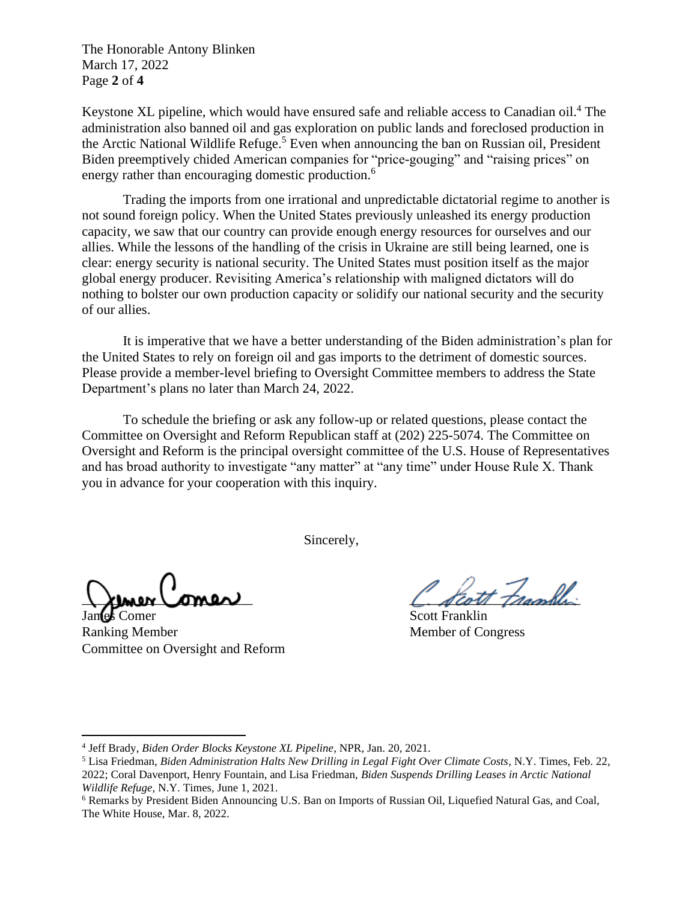The Honorable Antony Blinken March 17, 2022 Page **2** of **4**

Keystone XL pipeline, which would have ensured safe and reliable access to Canadian oil.<sup>4</sup> The administration also banned oil and gas exploration on public lands and foreclosed production in the Arctic National Wildlife Refuge.<sup>5</sup> Even when announcing the ban on Russian oil, President Biden preemptively chided American companies for "price-gouging" and "raising prices" on energy rather than encouraging domestic production.<sup>6</sup>

Trading the imports from one irrational and unpredictable dictatorial regime to another is not sound foreign policy. When the United States previously unleashed its energy production capacity, we saw that our country can provide enough energy resources for ourselves and our allies. While the lessons of the handling of the crisis in Ukraine are still being learned, one is clear: energy security is national security. The United States must position itself as the major global energy producer. Revisiting America's relationship with maligned dictators will do nothing to bolster our own production capacity or solidify our national security and the security of our allies.

It is imperative that we have a better understanding of the Biden administration's plan for the United States to rely on foreign oil and gas imports to the detriment of domestic sources. Please provide a member-level briefing to Oversight Committee members to address the State Department's plans no later than March 24, 2022.

To schedule the briefing or ask any follow-up or related questions, please contact the Committee on Oversight and Reform Republican staff at (202) 225-5074. The Committee on Oversight and Reform is the principal oversight committee of the U.S. House of Representatives and has broad authority to investigate "any matter" at "any time" under House Rule X. Thank you in advance for your cooperation with this inquiry.

Sincerely,

James Comer Scott Franklin Ranking Member Member Member of Congress Committee on Oversight and Reform

artt Frankli

<sup>4</sup> Jeff Brady, *Biden Order Blocks Keystone XL Pipeline*, NPR, Jan. 20, 2021.

<sup>5</sup> Lisa Friedman, *Biden Administration Halts New Drilling in Legal Fight Over Climate Costs*, N.Y. Times, Feb. 22, 2022; Coral Davenport, Henry Fountain, and Lisa Friedman, *Biden Suspends Drilling Leases in Arctic National Wildlife Refuge,* N.Y. Times, June 1, 2021.

<sup>6</sup> Remarks by President Biden Announcing U.S. Ban on Imports of Russian Oil, Liquefied Natural Gas, and Coal, The White House, Mar. 8, 2022.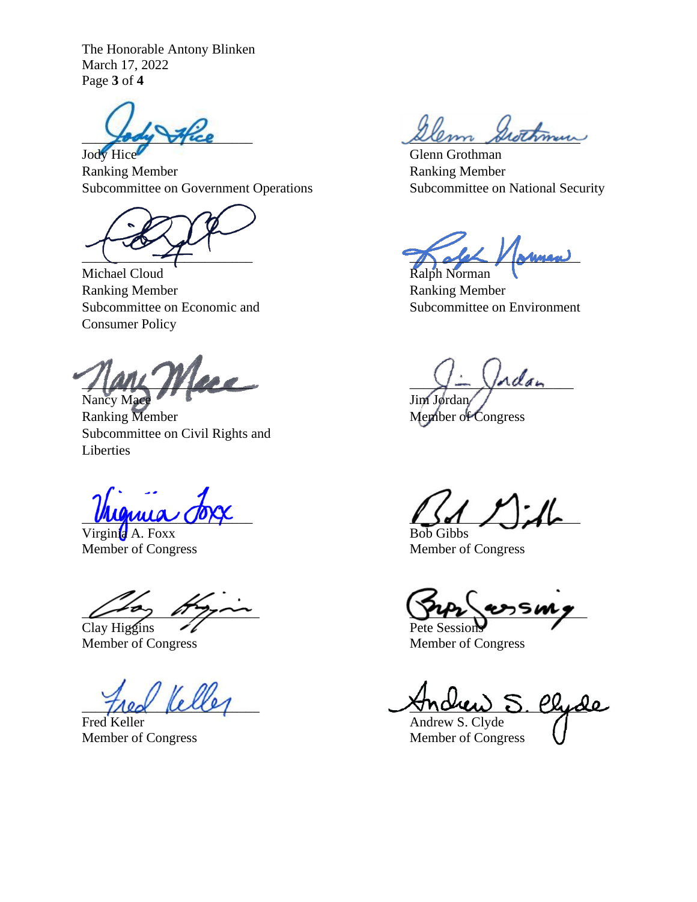The Honorable Antony Blinken March 17, 2022 Page **3** of **4**

Ranking Member **Ranking Member** Ranking Member Subcommittee on Government Operations Subcommittee on National Security

Michael Cloud Ralph Norman Ranking Member **Ranking Member** Ranking Member Subcommittee on Economic and Subcommittee on Environment Consumer Policy

 $\frac{\sqrt{2}}{2\pi}$ Nancy Mace Jim Jordan

Ranking Member Member of Congress Subcommittee on Civil Rights and Liberties

Virginia A. Foxx Bob Gibbs

 $Clav Higgins$  Pete Session

Fred Keller **Andrew S. Clyde** 

Stice Dem Swithman

Jody Hice Glenn Grothman

 $\sim$ 

 $\frac{1}{2}$ 

Member of Congress Member of Congress

 $\mu$ 

Member of Congress Member of Congress

Velles Andrew S. Chide

Member of Congress Member of Congress